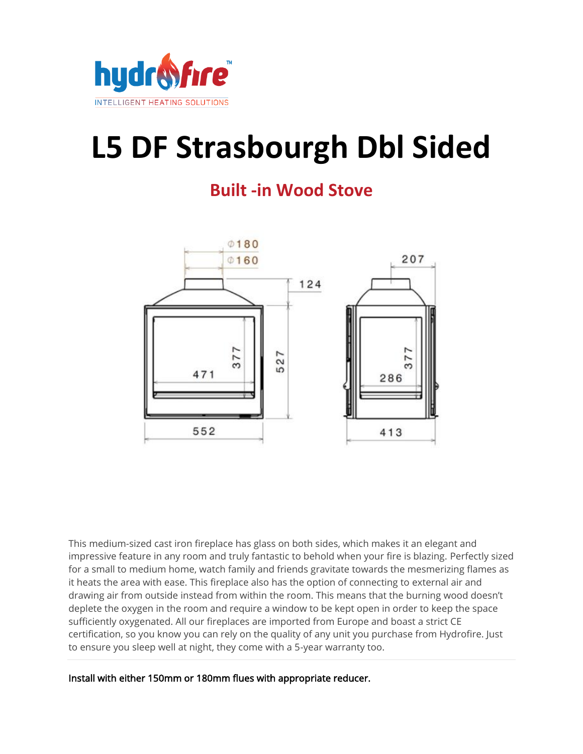

## **L5 DF Strasbourgh Dbl Sided**

## **Built -in Wood Stove**



This medium-sized cast iron fireplace has glass on both sides, which makes it an elegant and impressive feature in any room and truly fantastic to behold when your fire is blazing. Perfectly sized for a small to medium home, watch family and friends gravitate towards the mesmerizing flames as it heats the area with ease. This fireplace also has the option of connecting to external air and drawing air from outside instead from within the room. This means that the burning wood doesn't deplete the oxygen in the room and require a window to be kept open in order to keep the space sufficiently oxygenated. All our fireplaces are imported from Europe and boast a strict CE certification, so you know you can rely on the quality of any unit you purchase from Hydrofire. Just to ensure you sleep well at night, they come with a 5-year warranty too.

Install with either 150mm or 180mm flues with appropriate reducer.